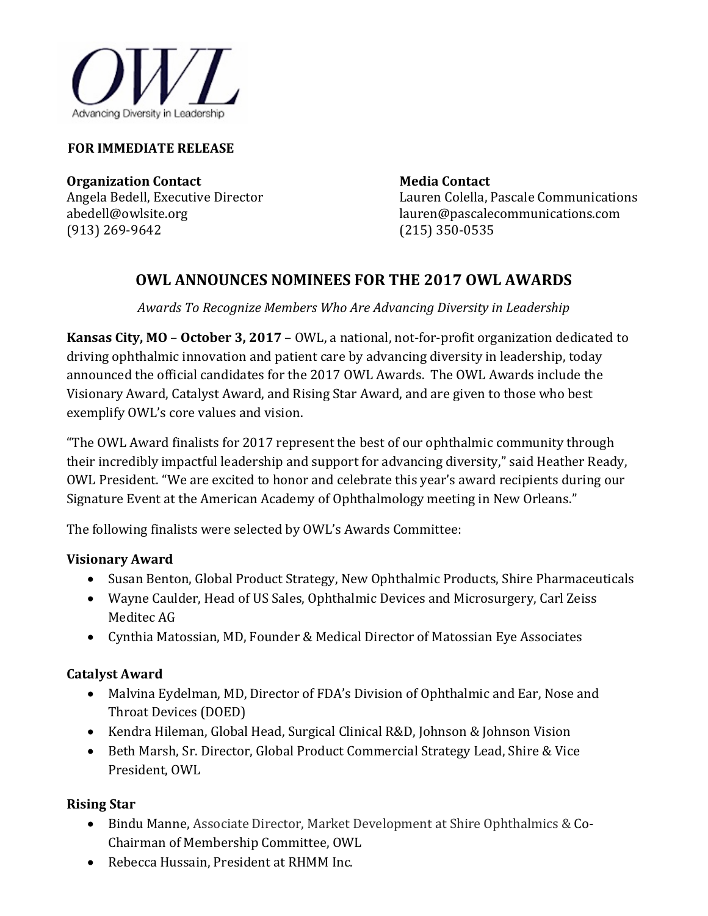

#### **FOR IMMEDIATE RELEASE**

**Organization Contact Media Contact Media Contact** 

Angela Bedell, Executive Director Lauren Colella, Pascale Communications<br>abedell@owlsite.org lauren@pascalecommunications.com abedell@owlsite.orglauren@pascalecommunications.com (215) 350-0535

## **OWL ANNOUNCES NOMINEES FOR THE 2017 OWL AWARDS**

*Awards To Recognize Members Who Are Advancing Diversity in Leadership*

**Kansas City, MO** – **October 3, 2017** – OWL, a national, not-for-profit organization dedicated to driving ophthalmic innovation and patient care by advancing diversity in leadership, today announced the official candidates for the 2017 OWL Awards. The OWL Awards include the Visionary Award, Catalyst Award, and Rising Star Award, and are given to those who best exemplify OWL's core values and vision.

"The OWL Award finalists for 2017 represent the best of our ophthalmic community through their incredibly impactful leadership and support for advancing diversity," said Heather Ready, OWL President. "We are excited to honor and celebrate this year's award recipients during our Signature Event at the American Academy of Ophthalmology meeting in New Orleans."

The following finalists were selected by OWL's Awards Committee:

#### **Visionary Award**

- Susan Benton, Global Product Strategy, New Ophthalmic Products, Shire Pharmaceuticals
- Wayne Caulder, Head of US Sales, Ophthalmic Devices and Microsurgery, Carl Zeiss Meditec AG
- Cynthia Matossian, MD, Founder & Medical Director of Matossian Eye Associates

#### **Catalyst Award**

- Malvina Eydelman, MD, Director of FDA's Division of Ophthalmic and Ear, Nose and Throat Devices (DOED)
- Kendra Hileman, Global Head, Surgical Clinical R&D, Johnson & Johnson Vision
- Beth Marsh, Sr. Director, Global Product Commercial Strategy Lead, Shire & Vice President, OWL

### **Rising Star**

- Bindu Manne, Associate Director, Market Development at Shire Ophthalmics & Co-Chairman of Membership Committee, OWL
- Rebecca Hussain, President at RHMM Inc.